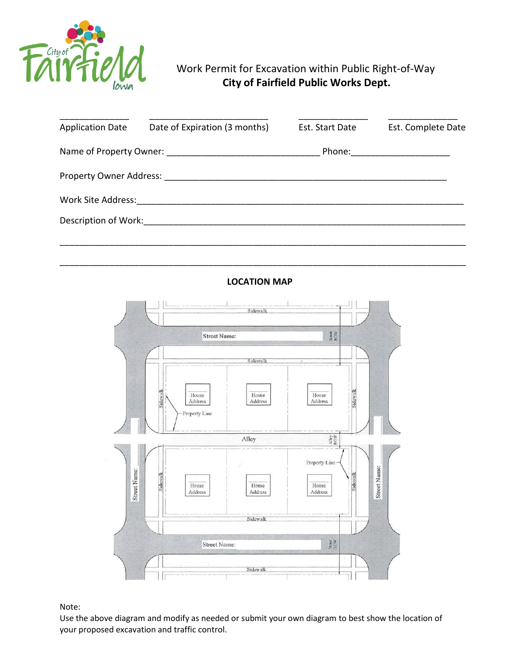

## Work Permit for Excavation within Public Right-of-Way **City of Fairfield Public Works Dept.**

| <b>Application Date</b> | Date of Expiration (3 months) | Est. Start Date | Est. Complete Date |
|-------------------------|-------------------------------|-----------------|--------------------|
| Name of Property Owner: |                               | Phone:          |                    |
| Property Owner Address: |                               |                 |                    |
| Work Site Address:      |                               |                 |                    |
| Description of Work:    |                               |                 |                    |
|                         |                               |                 |                    |

## **LOCATION MAP**

\_\_\_\_\_\_\_\_\_\_\_\_\_\_\_\_\_\_\_\_\_\_\_\_\_\_\_\_\_\_\_\_\_\_\_\_\_\_\_\_\_\_\_\_\_\_\_\_\_\_\_\_\_\_\_\_\_\_\_\_\_\_\_\_\_\_\_\_\_\_\_\_\_\_\_\_\_\_\_\_\_\_



Note:

Use the above diagram and modify as needed or submit your own diagram to best show the location of your proposed excavation and traffic control.